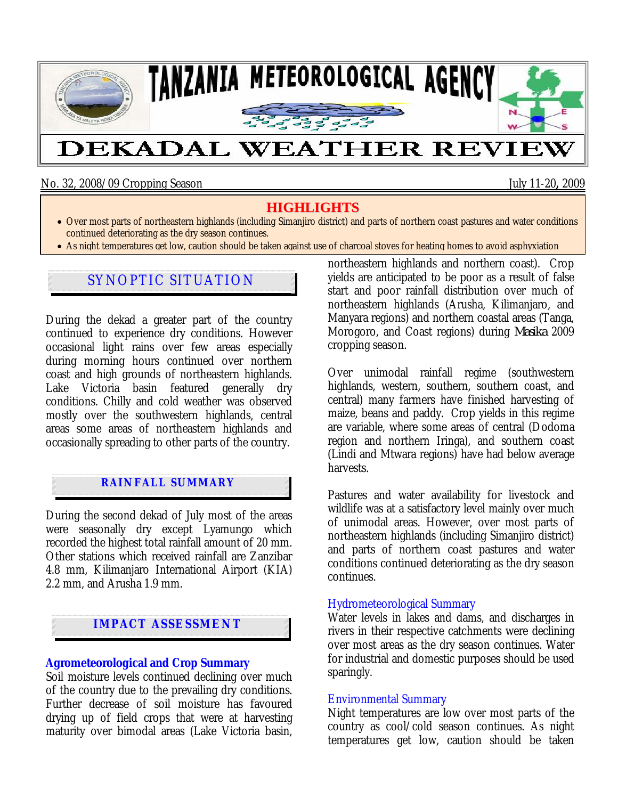

No. 32, 2008/09 Cropping Season July 11-20**,** 2009

# **HIGHLIGHTS**

- Over most parts of northeastern highlands (including Simanjiro district) and parts of northern coast pastures and water conditions continued deteriorating as the dry season continues.
- As night temperatures get low, caution should be taken against use of charcoal stoves for heating homes to avoid asphyxiation

# SYNOPTIC SITUATION

During the dekad a greater part of the country continued to experience dry conditions. However occasional light rains over few areas especially during morning hours continued over northern coast and high grounds of northeastern highlands. Lake Victoria basin featured generally dry conditions. Chilly and cold weather was observed mostly over the southwestern highlands, central areas some areas of northeastern highlands and occasionally spreading to other parts of the country.

## **RAINFALL SUMMARY**

During the second dekad of July most of the areas were seasonally dry except Lyamungo which recorded the highest total rainfall amount of 20 mm. Other stations which received rainfall are Zanzibar 4.8 mm, Kilimanjaro International Airport (KIA) 2.2 mm, and Arusha 1.9 mm.

## **IMPACT ASSESSMENT**

#### **Agrometeorological and Crop Summary**

Soil moisture levels continued declining over much of the country due to the prevailing dry conditions. Further decrease of soil moisture has favoured drying up of field crops that were at harvesting maturity over bimodal areas (Lake Victoria basin, northeastern highlands and northern coast). Crop yields are anticipated to be poor as a result of false start and poor rainfall distribution over much of northeastern highlands (Arusha, Kilimanjaro, and Manyara regions) and northern coastal areas (Tanga, Morogoro, and Coast regions) during *Masika* 2009 cropping season.

Over unimodal rainfall regime (southwestern highlands, western, southern, southern coast, and central) many farmers have finished harvesting of maize, beans and paddy. Crop yields in this regime are variable, where some areas of central (Dodoma region and northern Iringa), and southern coast (Lindi and Mtwara regions) have had below average harvests.

Pastures and water availability for livestock and wildlife was at a satisfactory level mainly over much of unimodal areas. However, over most parts of northeastern highlands (including Simanjiro district) and parts of northern coast pastures and water conditions continued deteriorating as the dry season continues.

### Hydrometeorological Summary

Water levels in lakes and dams, and discharges in rivers in their respective catchments were declining over most areas as the dry season continues. Water for industrial and domestic purposes should be used sparingly.

### Environmental Summary

Night temperatures are low over most parts of the country as cool/cold season continues. As night temperatures get low, caution should be taken